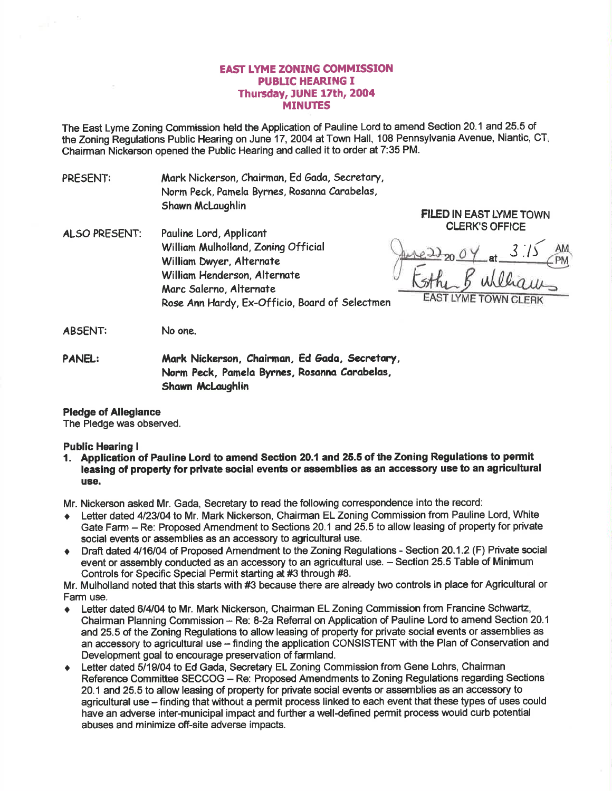## **EAST LYME ZONING COMMISSION** PUBUC HEARING I Thursday, JUNE 17th, 2004 MINUTES

The East Lyme Zoning Commission held the Application of Pauline Lord to amend Section 20.1 and 25.5 of the Zoning Regulations Public Hearing on June 17, 2004 at Town Hall, 108 Pennsylvania Avenue, Niantic, CT. Chairman Nickerson opened the Public Hearing and called it to order at 7:35 PM.

PRESENT: Mark Nickerson, Chairman, Ed Gada, Secretary, Norm Peck, Pamela Byrnes, Rosanna Carabelas, Shawn McLaughlin

OLERK'S OFFICE ALSO PRESENT: Pouline Lord, Applicont William Mulholland, Zoning Official Williom Dwyer, Alternote Williom Henderson, Alternote Marc Salerno, Alternate Rose Ann Hardy, Ex-Officio, Board of Selectmen

FILED IN EAST LYME TOWN<br>CLERK'S OFFICE

at  $3/5$ **K**sthen

ABSENT: No one.

PANEL: Mark Nickerson, Chairman, Ed Gada, Secretary, Mrm Peck, Pomelo Byrnes, Rosonno Corobelos, Shawn McLaughlin

## Pledge of Allegiance

The Pledge was observed.

## Public Hearing <sup>I</sup>

1, Application of Pauline Lord to amend Section 20.{ and 25.5 of the Zoning Regulations to permit leasing of property for private social events or assemblies as an accessory use to an agricultural use.

Mr. Nickerson asked Mr. Gada, Secretary to read the following correspondence into the record:

- Letter dated 4/23/04 to Mr. Mark Nickerson, Chairman EL Zoning Commission from Pauline Lord, White Gate Farm - Re: Proposed Amendment to Sections 20.1 and 25.5 to allow leasing of property for private social events or assemblies as an accessory to agricultural use.
- Draft dated 4/16/04 of Proposed Amendment to the Zoning Regulations Section 20.1.2 (F) Private social event or assembly conducted as an accessory to an agricultural use. - Section 25.5 Table of Minimum Controls for Specific Special Permit starting at #3 through #8.

Mr. Mulholland noted that this starts with #3 because there are already two controls in place for Agricultural or Farm use.

- Letter dated 6/4/04 to Mr. Mark Nickerson, Chairman EL Zoning Commission from Francine Schwartz, Chairman Planning Commission - Re: 8-2a Referral on Application of Pauline Lord to amend Section 20.1 and 25.5 of the Zoning Regulations to allow leasing of property for private social events or assemblies as an accessory to agricultural use - finding the application CONSISTENT with the Plan of Conservation and Development goal to encourage preservation of farmland.
- Letter dated 5/19/04 to Ed Gada, Secretary EL Zoning Commission from Gene Lohrs, Chairman Reference Committee SECCOG - Re: Proposed Amendments to Zoning Regulations regarding Sections 20.1 and 25.5 to allow leasing of property for private socialevents or assemblies as an accessory to agricultural use - finding that without a permit process linked to each event that these types of uses could have an adverse inter-municipal impact and further a well-defined permit process would curb potential abuses and minimize off-site adverse impacts.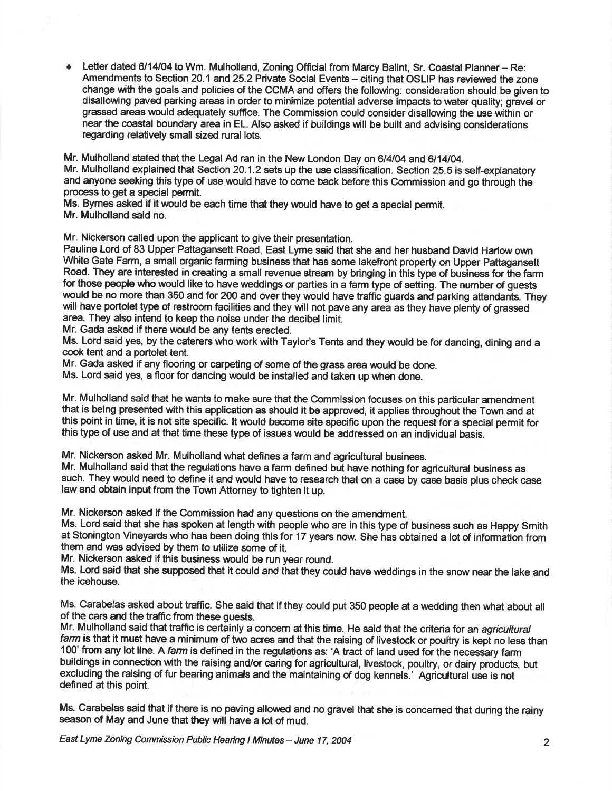Letter dated 6/14/04 to Wm. Mulholland, Zoning Official from Marcy Balint, Sr. Coastal Planner - Re: Amendments to Section 20.1 and 25.2 Private Social Events - citing that OSLIP has reviewed the zone change with the goals and policies of the CCMA and offers the following: consideration should be given to disallowing paved parking areas in order to minimize potential adverse impacts to water quality; gravel or grassed areas would adequately suffice. The Commission could consider disallowing the use within or near the coastal boundary area in EL. Also asked if buildings will be built and advising considerations regarding relatively small sized rural lots.

Mr. Mulholland stated that the Legal Ad ran in the New London Day on 6/4/04 and 6/14/04.

Mr. Mulholland explained that Section 20.1.2 sets up the use classification. Section 25.5 is self-explanatory and anyone seeking this type of use would have to come back before this Commission and go through the process to get a special permit.

Ms. Bymes asked if it would be each time that they would have to get a special permit. Mr. Mulholland said no.

Mr. Nickerson called upon the applicant to give their presentation.

Pauline Lord of 83 Upper Pattagansett Road, East Lyme said that she and her husband David Harlow own White Gate Farm, a small organic farming business that has some lakefront property on Upper Pattagansett Road. They are interested in creating a small revenue stream by bringing in this type of business for the farm for those people who would like to have weddings or parties in a farm type of setting. The number of guests would be no more than 350 and for 200 and over they would have traffic guards and parking attendants. They will have portolet type of restroom facilities and they will not pave any area as they have plenty of grassed area. They also intend to keep the noise under the decibel limit.

Mr. Gada asked if there would be any tents erected.

Ms. Lord said yes, by the caterers who work with Taylor's Tents and they would be for dancing, dining and a cook tent and a portolet tent.

Mr. Gada asked if any flooring or carpeting of some of the grass area would be done.

Ms. Lord said yes, a floor for dancing would be installed and taken up when done.

Mr. Mulholland said that he wants to make sure that the Commission focuses on this particular amendment that is being presented with this application as should it be approved, it applies throughout the Town and at this point in time, it is not site specific. lt would become site specific upon the request for a special permit for this type of use and at that time these type of issues would be addressed on an individual basis.

Mr. Nickerson asked Mr. Mulholland what defines a farm and agricultural business.

Mr. Mulholland said that the regulations have a farm defined but have nothing for agricultural business as such. They would need to define it and would have to research that on a case by case basis plus check case law and obtain input from the Town Aftorney to tighten it up.

Mr. Nickerson asked if the commission had any questions on the amendment.

Ms. Lord said that she has spoken at length with people who are in this type of business such as Happy Smith at Stonington Vineyards who has been doing this for 17 years now. She has obtained a lot of information from them and was advised by them to utilize some of it.

Mr. Nickerson asked if this business would be run year round.

Ms. Lord said that she supposed that it could and that they could have weddings in the snow near the lake and the icehouse.

Ms. Garabelas asked about traffic. She said that if they could put 350 people at a wedding then what about all of the cars and the traffic from these guests.

Mr. Mulholland said that traffic is certainly a concern at this time. He said that the criteria for an agricultural farm is that it must have a minimum of two acres and that the raising of livestock or poultry is kept no less than 100' from any lot line. A farm is defined in the regulations as: 'A tract of land used for the necessary farm buildings in connection with the raising and/or caring for agricultural, livestock, poultry, or dairy products, but excluding the raising of fur bearing animals and the maintaining of dog kennels.' Agricultural use is not defined at this point.

Ms. Carabelas said that if there is no paving allowed and no gravel that she is concerned that during the rainy season of May and June that they will have a lot of mud.